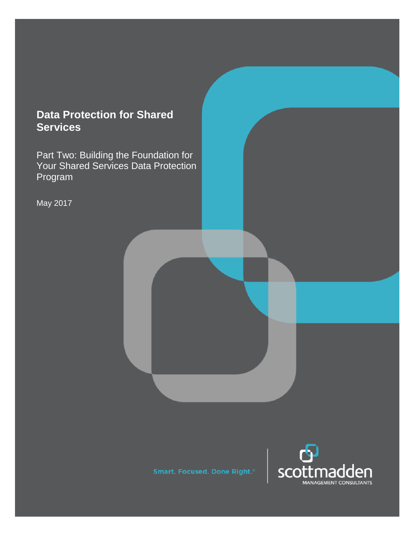# **Data Protection for Shared Services**

Part Two: Building the Foundation for Your Shared Services Data Protection Program

May 2017

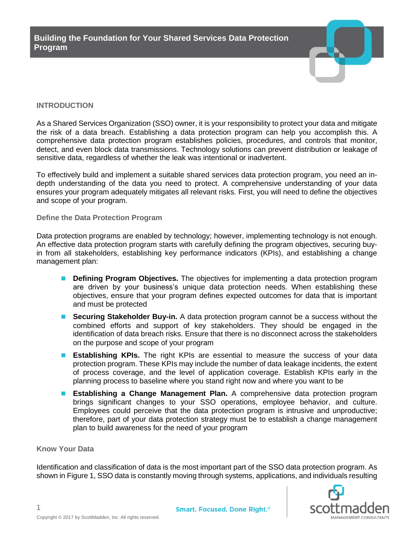

## **INTRODUCTION**

As a Shared Services Organization (SSO) owner, it is your responsibility to protect your data and mitigate the risk of a data breach. Establishing a data protection program can help you accomplish this. A comprehensive data protection program establishes policies, procedures, and controls that monitor, detect, and even block data transmissions. Technology solutions can prevent distribution or leakage of sensitive data, regardless of whether the leak was intentional or inadvertent.

To effectively build and implement a suitable shared services data protection program, you need an indepth understanding of the data you need to protect. A comprehensive understanding of your data ensures your program adequately mitigates all relevant risks. First, you will need to define the objectives and scope of your program.

#### **Define the Data Protection Program**

Data protection programs are enabled by technology; however, implementing technology is not enough. An effective data protection program starts with carefully defining the program objectives, securing buyin from all stakeholders, establishing key performance indicators (KPIs), and establishing a change management plan:

- **Defining Program Objectives.** The objectives for implementing a data protection program are driven by your business's unique data protection needs. When establishing these objectives, ensure that your program defines expected outcomes for data that is important and must be protected
- **Securing Stakeholder Buy-in.** A data protection program cannot be a success without the combined efforts and support of key stakeholders. They should be engaged in the identification of data breach risks. Ensure that there is no disconnect across the stakeholders on the purpose and scope of your program
- **Establishing KPIs.** The right KPIs are essential to measure the success of your data protection program. These KPIs may include the number of data leakage incidents, the extent of process coverage, and the level of application coverage. Establish KPIs early in the planning process to baseline where you stand right now and where you want to be
- **Establishing a Change Management Plan.** A comprehensive data protection program brings significant changes to your SSO operations, employee behavior, and culture. Employees could perceive that the data protection program is intrusive and unproductive; therefore, part of your data protection strategy must be to establish a change management plan to build awareness for the need of your program

## **Know Your Data**

1

Identification and classification of data is the most important part of the SSO data protection program. As shown in Figure 1, SSO data is constantly moving through systems, applications, and individuals resulting

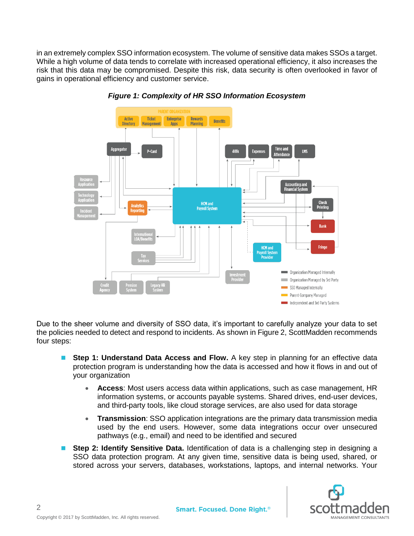in an extremely complex SSO information ecosystem. The volume of sensitive data makes SSOs a target. While a high volume of data tends to correlate with increased operational efficiency, it also increases the risk that this data may be compromised. Despite this risk, data security is often overlooked in favor of gains in operational efficiency and customer service.



*Figure 1: Complexity of HR SSO Information Ecosystem*

Due to the sheer volume and diversity of SSO data, it's important to carefully analyze your data to set the policies needed to detect and respond to incidents. As shown in Figure 2, ScottMadden recommends four steps:

- **Step 1: Understand Data Access and Flow.** A key step in planning for an effective data protection program is understanding how the data is accessed and how it flows in and out of your organization
	- **Access**: Most users access data within applications, such as case management, HR information systems, or accounts payable systems. Shared drives, end-user devices, and third-party tools, like cloud storage services, are also used for data storage
	- **Transmission**: SSO application integrations are the primary data transmission media used by the end users. However, some data integrations occur over unsecured pathways (e.g., email) and need to be identified and secured
- **Step 2: Identify Sensitive Data.** Identification of data is a challenging step in designing a SSO data protection program. At any given time, sensitive data is being used, shared, or stored across your servers, databases, workstations, laptops, and internal networks. Your

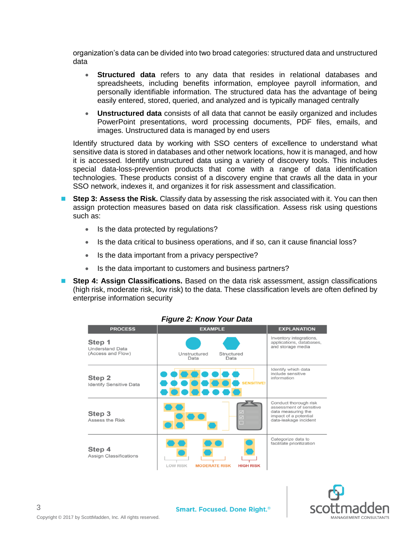organization's data can be divided into two broad categories: structured data and unstructured data

- **Structured data** refers to any data that resides in relational databases and spreadsheets, including benefits information, employee payroll information, and personally identifiable information. The structured data has the advantage of being easily entered, stored, queried, and analyzed and is typically managed centrally
- **Unstructured data** consists of all data that cannot be easily organized and includes PowerPoint presentations, word processing documents, PDF files, emails, and images. Unstructured data is managed by end users

Identify structured data by working with SSO centers of excellence to understand what sensitive data is stored in databases and other network locations, how it is managed, and how it is accessed. Identify unstructured data using a variety of discovery tools. This includes special data-loss-prevention products that come with a range of data identification technologies. These products consist of a discovery engine that crawls all the data in your SSO network, indexes it, and organizes it for risk assessment and classification.

- **Step 3: Assess the Risk.** Classify data by assessing the risk associated with it. You can then assign protection measures based on data risk classification. Assess risk using questions such as:
	- Is the data protected by regulations?
	- Is the data critical to business operations, and if so, can it cause financial loss?
	- Is the data important from a privacy perspective?
	- Is the data important to customers and business partners?
- **Step 4: Assign Classifications.** Based on the data risk assessment, assign classifications (high risk, moderate risk, low risk) to the data. These classification levels are often defined by enterprise information security

| <b>PROCESS</b>                                        | <b>EXAMPLE</b>                                              | <b>EXPLANATION</b>                                                                                                       |
|-------------------------------------------------------|-------------------------------------------------------------|--------------------------------------------------------------------------------------------------------------------------|
| Step 1<br><b>Understand Data</b><br>(Access and Flow) | Unstructured<br>Structured<br>Data<br>Data                  | Inventory integrations,<br>applications, databases,<br>and storage media                                                 |
| Step 2<br><b>Identify Sensitive Data</b>              | $\bullet$ $\bullet$<br><b>SENSITIVE!</b>                    | Identify which data<br>include sensitive<br>information                                                                  |
| Step 3<br>Assess the Risk                             | $\overline{\mathbf{v}}$<br>П                                | Conduct thorough risk<br>assessment of sensitive<br>data measuring the<br>impact of a potential<br>data-leakage incident |
| Step 4<br><b>Assign Classifications</b>               | <b>LOW RISK</b><br><b>MODERATE RISK</b><br><b>HIGH RISK</b> | Categorize data to<br>facilitate prioritization                                                                          |

#### *Figure 2: Know Your Data*

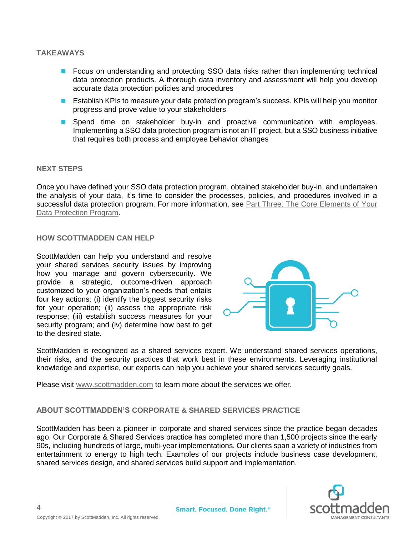#### **TAKEAWAYS**

- **Focus on understanding and protecting SSO data risks rather than implementing technical** data protection products. A thorough data inventory and assessment will help you develop accurate data protection policies and procedures
- **E** Establish KPIs to measure your data protection program's success. KPIs will help you monitor progress and prove value to your stakeholders
- **Spend time on stakeholder buy-in and proactive communication with employees.** Implementing a SSO data protection program is not an IT project, but a SSO business initiative that requires both process and employee behavior changes

#### **NEXT STEPS**

Once you have defined your SSO data protection program, obtained stakeholder buy-in, and undertaken the analysis of your data, it's time to consider the processes, policies, and procedures involved in a successful data protection program. For more information, see [Part Three: The Core Elements of Your](http://www.scottmadden.com/insight/core-elements-shared-services-data-protection-program/)  [Data Protection Program.](http://www.scottmadden.com/insight/core-elements-shared-services-data-protection-program/)

#### **HOW SCOTTMADDEN CAN HELP**

ScottMadden can help you understand and resolve your shared services security issues by improving how you manage and govern cybersecurity. We provide a strategic, outcome-driven approach customized to your organization's needs that entails four key actions: (i) identify the biggest security risks for your operation; (ii) assess the appropriate risk response; (iii) establish success measures for your security program; and (iv) determine how best to get to the desired state.



ScottMadden is recognized as a shared services expert. We understand shared services operations, their risks, and the security practices that work best in these environments. Leveraging institutional knowledge and expertise, our experts can help you achieve your shared services security goals.

Please visit [www.scottmadden.com](http://www.scottmadden.com/) to learn more about the services we offer.

## **ABOUT SCOTTMADDEN'S CORPORATE & SHARED SERVICES PRACTICE**

ScottMadden has been a pioneer in corporate and shared services since the practice began decades ago. Our Corporate & Shared Services practice has completed more than 1,500 projects since the early 90s, including hundreds of large, multi-year implementations. Our clients span a variety of industries from entertainment to energy to high tech. Examples of our projects include business case development, shared services design, and shared services build support and implementation.



4